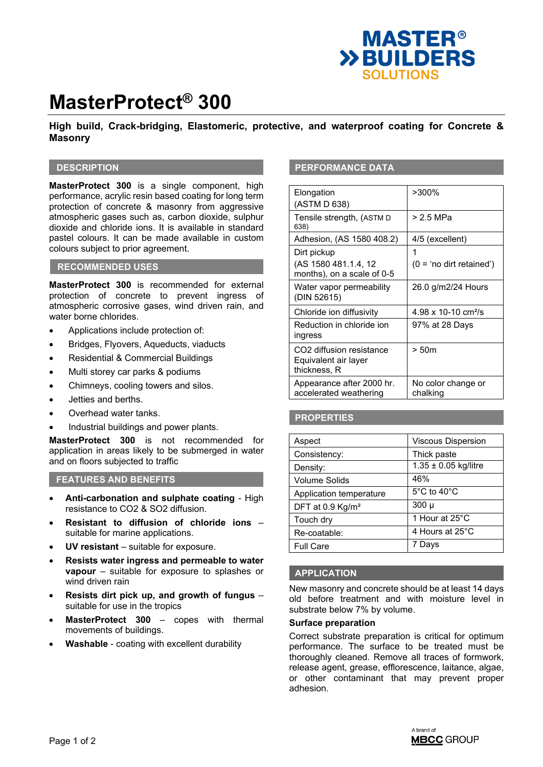

# **MasterProtect® 300**

# **High build, Crack-bridging, Elastomeric, protective, and waterproof coating for Concrete & Masonry**

### **DESCRIPTION**

**MasterProtect 300** is a single component, high performance, acrylic resin based coating for long term protection of concrete & masonry from aggressive atmospheric gases such as, carbon dioxide, sulphur dioxide and chloride ions. It is available in standard pastel colours. It can be made available in custom colours subject to prior agreement.

### **RECOMMENDED USES**

**MasterProtect 300** is recommended for external protection of concrete to prevent ingress of atmospheric corrosive gases, wind driven rain, and water borne chlorides.

- Applications include protection of:
- Bridges, Flyovers, Aqueducts, viaducts
- Residential & Commercial Buildings
- Multi storey car parks & podiums
- Chimneys, cooling towers and silos.
- Jetties and berths.
- Overhead water tanks.
- Industrial buildings and power plants.

**MasterProtect 300** is not recommended for application in areas likely to be submerged in water and on floors subjected to traffic

#### **FEATURES AND BENEFITS**

- **Anti-carbonation and sulphate coating**  High resistance to CO2 & SO2 diffusion.
- **Resistant to diffusion of chloride ions**  suitable for marine applications.
- **UV resistant**  suitable for exposure.
- **Resists water ingress and permeable to water vapour** – suitable for exposure to splashes or wind driven rain
- **Resists dirt pick up, and growth of fungus** suitable for use in the tropics
- **MasterProtect 300**  copes with thermal movements of buildings.
- **Washable**  coating with excellent durability

#### **PERFORMANCE DATA**

| Elongation<br>(ASTM D 638)                                                   | $>300\%$                        |
|------------------------------------------------------------------------------|---------------------------------|
| Tensile strength, (ASTM D<br>638)                                            | > 2.5 MPa                       |
| Adhesion, (AS 1580 408.2)                                                    | 4/5 (excellent)                 |
| Dirt pickup                                                                  | 1                               |
| (AS 1580 481.1.4, 12<br>months), on a scale of 0-5                           | $(0 = 'no$ dirt retained')      |
| Water vapor permeability<br>(DIN 52615)                                      | 26.0 g/m2/24 Hours              |
| Chloride ion diffusivity                                                     | 4.98 x 10-10 cm <sup>2</sup> /s |
| Reduction in chloride ion<br>ingress                                         | 97% at 28 Days                  |
| CO <sub>2</sub> diffusion resistance<br>Equivalent air layer<br>thickness, R | > 50m                           |
| Appearance after 2000 hr.<br>accelerated weathering                          | No color change or<br>chalking  |

# **PROPERTIES**

| Aspect                       | <b>Viscous Dispersion</b> |
|------------------------------|---------------------------|
| Consistency:                 | Thick paste               |
| Density:                     | $1.35 \pm 0.05$ kg/litre  |
| <b>Volume Solids</b>         | 46%                       |
| Application temperature      | 5°C to 40°C               |
| DFT at 0.9 Kg/m <sup>2</sup> | $300 \mu$                 |
| Touch dry                    | 1 Hour at 25°C            |
| Re-coatable:                 | 4 Hours at 25°C           |
| <b>Full Care</b>             | Days                      |

#### **APPLICATION**

New masonry and concrete should be at least 14 days old before treatment and with moisture level in substrate below 7% by volume.

#### **Surface preparation**

Correct substrate preparation is critical for optimum performance. The surface to be treated must be thoroughly cleaned. Remove all traces of formwork, release agent, grease, efflorescence, laitance, algae, or other contaminant that may prevent proper adhesion.